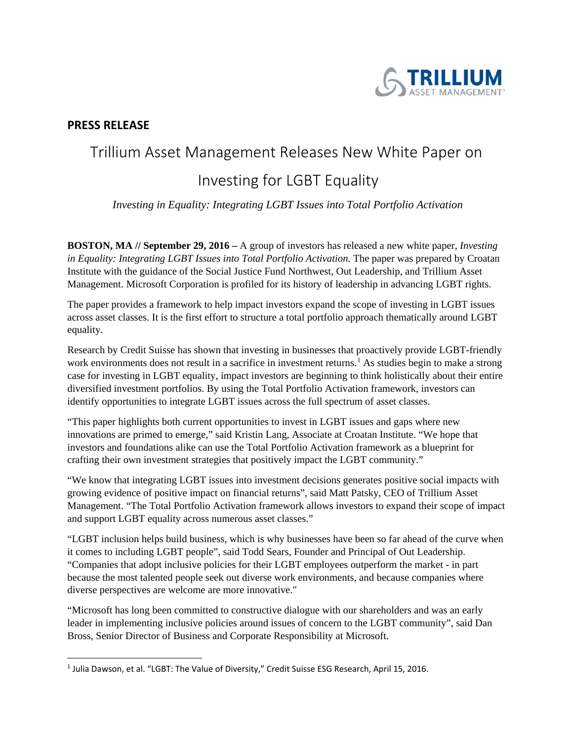

## **PRESS RELEASE**

## Trillium Asset Management Releases New White Paper on

## Investing for LGBT Equality

*Investing in Equality: Integrating LGBT Issues into Total Portfolio Activation*

**BOSTON, MA // September 29, 2016 –** A group of investors has released a new white paper, *Investing in Equality: Integrating LGBT Issues into Total Portfolio Activation.* The paper was prepared by Croatan Institute with the guidance of the Social Justice Fund Northwest, Out Leadership, and Trillium Asset Management. Microsoft Corporation is profiled for its history of leadership in advancing LGBT rights.

The paper provides a framework to help impact investors expand the scope of investing in LGBT issues across asset classes. It is the first effort to structure a total portfolio approach thematically around LGBT equality.

Research by Credit Suisse has shown that investing in businesses that proactively provide LGBT-friendly work environments does not result in a sacrifice in investment returns.<sup>[1](#page-0-0)</sup> As studies begin to make a strong case for investing in LGBT equality, impact investors are beginning to think holistically about their entire diversified investment portfolios. By using the Total Portfolio Activation framework, investors can identify opportunities to integrate LGBT issues across the full spectrum of asset classes.

"This paper highlights both current opportunities to invest in LGBT issues and gaps where new innovations are primed to emerge," said Kristin Lang, Associate at Croatan Institute. "We hope that investors and foundations alike can use the Total Portfolio Activation framework as a blueprint for crafting their own investment strategies that positively impact the LGBT community."

"We know that integrating LGBT issues into investment decisions generates positive social impacts with growing evidence of positive impact on financial returns", said Matt Patsky, CEO of Trillium Asset Management. "The Total Portfolio Activation framework allows investors to expand their scope of impact and support LGBT equality across numerous asset classes."

"LGBT inclusion helps build business, which is why businesses have been so far ahead of the curve when it comes to including LGBT people", said Todd Sears, Founder and Principal of Out Leadership. "Companies that adopt inclusive policies for their LGBT employees outperform the market - in part because the most talented people seek out diverse work environments, and because companies where diverse perspectives are welcome are more innovative."

"Microsoft has long been committed to constructive dialogue with our shareholders and was an early leader in implementing inclusive policies around issues of concern to the LGBT community", said Dan Bross, Senior Director of Business and Corporate Responsibility at Microsoft.

<span id="page-0-0"></span><sup>&</sup>lt;sup>1</sup> Julia Dawson, et al. "LGBT: The Value of Diversity," Credit Suisse ESG Research, April 15, 2016.